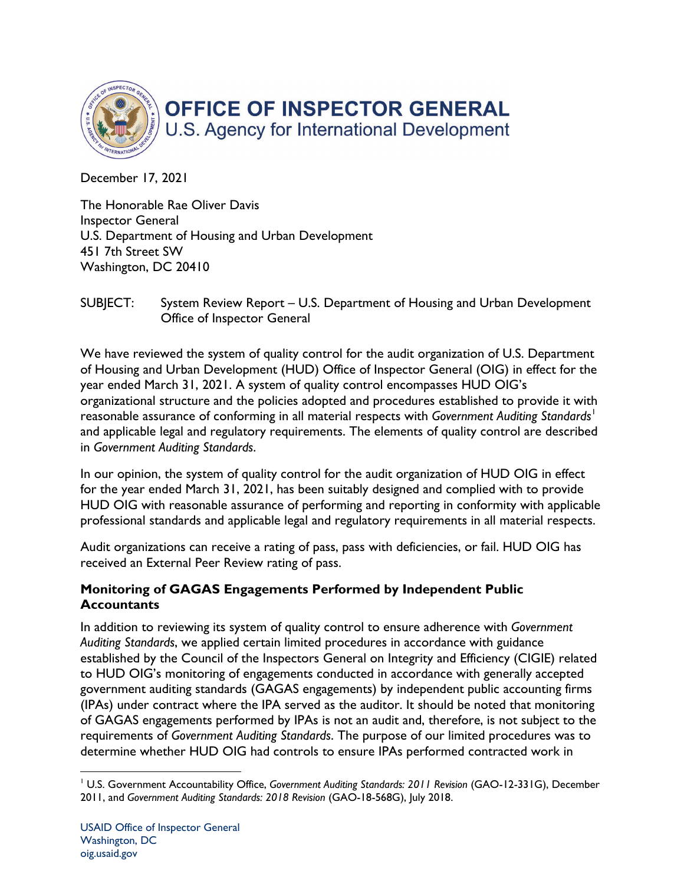

December 17, 2021

The Honorable Rae Oliver Davis Inspector General U.S. Department of Housing and Urban Development 451 7th Street SW Washington, DC 20410

SUBJECT: System Review Report – U.S. Department of Housing and Urban Development Office of Inspector General

We have reviewed the system of quality control for the audit organization of U.S. Department of Housing and Urban Development (HUD) Office of Inspector General (OIG) in effect for the year ended March 31, 2021. A system of quality control encompasses HUD OIG's organizational structure and the policies adopted and procedures established to provide it with reasonable assurance of conforming in all material respects with *Government Auditing Standards*[1](#page-0-0) and applicable legal and regulatory requirements. The elements of quality control are described in *Government Auditing Standards*.

In our opinion, the system of quality control for the audit organization of HUD OIG in effect for the year ended March 31, 2021, has been suitably designed and complied with to provide HUD OIG with reasonable assurance of performing and reporting in conformity with applicable professional standards and applicable legal and regulatory requirements in all material respects.

Audit organizations can receive a rating of pass, pass with deficiencies, or fail. HUD OIG has received an External Peer Review rating of pass.

# **Monitoring of GAGAS Engagements Performed by Independent Public Accountants**

In addition to reviewing its system of quality control to ensure adherence with *Government Auditing Standards*, we applied certain limited procedures in accordance with guidance established by the Council of the Inspectors General on Integrity and Efficiency (CIGIE) related to HUD OIG's monitoring of engagements conducted in accordance with generally accepted government auditing standards (GAGAS engagements) by independent public accounting firms (IPAs) under contract where the IPA served as the auditor. It should be noted that monitoring of GAGAS engagements performed by IPAs is not an audit and, therefore, is not subject to the requirements of *Government Auditing Standards*. The purpose of our limited procedures was to determine whether HUD OIG had controls to ensure IPAs performed contracted work in

<span id="page-0-0"></span><sup>1</sup> U.S. Government Accountability Office, *Government Auditing Standards: 2011 Revision* (GAO-12-331G), December 2011, and *Government Auditing Standards: 2018 Revision* (GAO-18-568G), July 2018.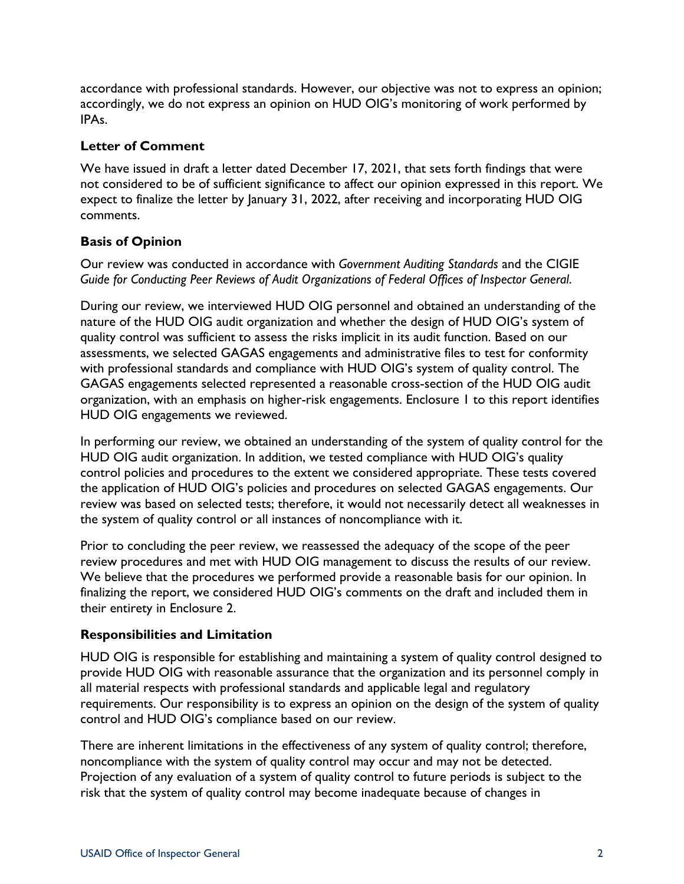accordance with professional standards. However, our objective was not to express an opinion; accordingly, we do not express an opinion on HUD OIG's monitoring of work performed by IPAs.

#### **Letter of Comment**

We have issued in draft a letter dated December 17, 2021, that sets forth findings that were not considered to be of sufficient significance to affect our opinion expressed in this report. We expect to finalize the letter by January 31, 2022, after receiving and incorporating HUD OIG comments.

## **Basis of Opinion**

Our review was conducted in accordance with *Government Auditing Standards* and the CIGIE *Guide for Conducting Peer Reviews of Audit Organizations of Federal Offices of Inspector General*.

During our review, we interviewed HUD OIG personnel and obtained an understanding of the nature of the HUD OIG audit organization and whether the design of HUD OIG's system of quality control was sufficient to assess the risks implicit in its audit function. Based on our assessments, we selected GAGAS engagements and administrative files to test for conformity with professional standards and compliance with HUD OIG's system of quality control. The GAGAS engagements selected represented a reasonable cross-section of the HUD OIG audit organization, with an emphasis on higher-risk engagements. Enclosure 1 to this report identifies HUD OIG engagements we reviewed.

In performing our review, we obtained an understanding of the system of quality control for the HUD OIG audit organization. In addition, we tested compliance with HUD OIG's quality control policies and procedures to the extent we considered appropriate. These tests covered the application of HUD OIG's policies and procedures on selected GAGAS engagements. Our review was based on selected tests; therefore, it would not necessarily detect all weaknesses in the system of quality control or all instances of noncompliance with it.

Prior to concluding the peer review, we reassessed the adequacy of the scope of the peer review procedures and met with HUD OIG management to discuss the results of our review. We believe that the procedures we performed provide a reasonable basis for our opinion. In finalizing the report, we considered HUD OIG's comments on the draft and included them in their entirety in Enclosure 2.

## **Responsibilities and Limitation**

HUD OIG is responsible for establishing and maintaining a system of quality control designed to provide HUD OIG with reasonable assurance that the organization and its personnel comply in all material respects with professional standards and applicable legal and regulatory requirements. Our responsibility is to express an opinion on the design of the system of quality control and HUD OIG's compliance based on our review.

There are inherent limitations in the effectiveness of any system of quality control; therefore, noncompliance with the system of quality control may occur and may not be detected. Projection of any evaluation of a system of quality control to future periods is subject to the risk that the system of quality control may become inadequate because of changes in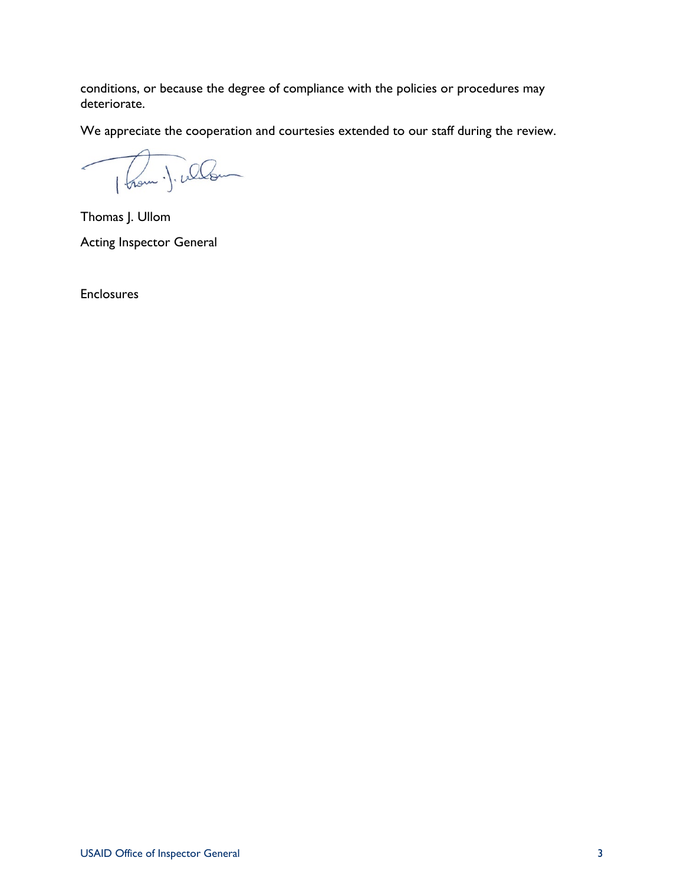conditions, or because the degree of compliance with the policies or procedures may deteriorate.

We appreciate the cooperation and courtesies extended to our staff during the review.

1 hom . J. whom ╱

Thomas J. Ullom Acting Inspector General

**Enclosures**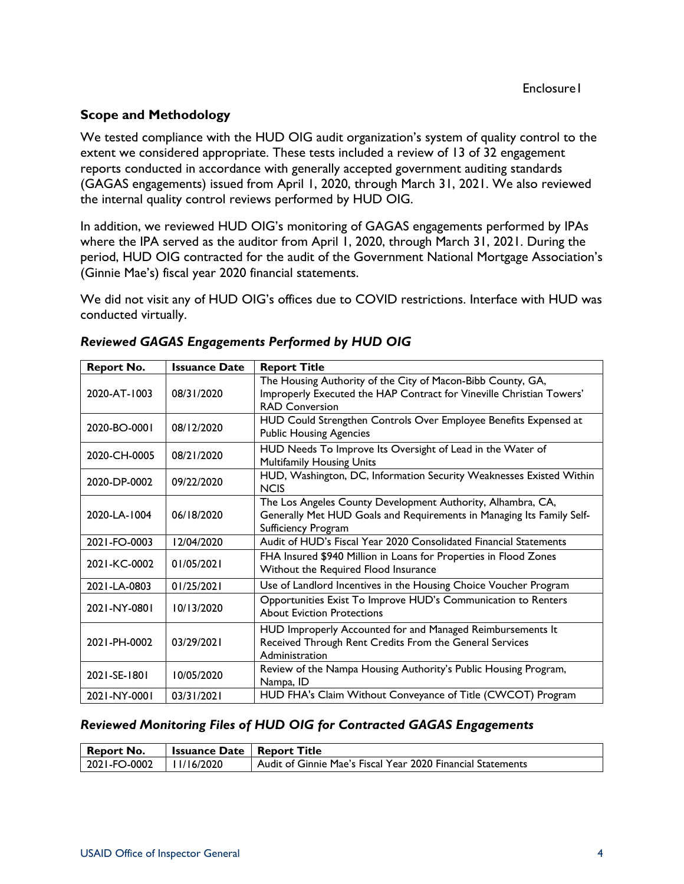## **Scope and Methodology**

We tested compliance with the HUD OIG audit organization's system of quality control to the extent we considered appropriate. These tests included a review of 13 of 32 engagement reports conducted in accordance with generally accepted government auditing standards (GAGAS engagements) issued from April 1, 2020, through March 31, 2021. We also reviewed the internal quality control reviews performed by HUD OIG.

In addition, we reviewed HUD OIG's monitoring of GAGAS engagements performed by IPAs where the IPA served as the auditor from April 1, 2020, through March 31, 2021. During the period, HUD OIG contracted for the audit of the Government National Mortgage Association's (Ginnie Mae's) fiscal year 2020 financial statements.

We did not visit any of HUD OIG's offices due to COVID restrictions. Interface with HUD was conducted virtually.

| <b>Report No.</b> | <b>Issuance Date</b> | <b>Report Title</b>                                                                                                                                          |
|-------------------|----------------------|--------------------------------------------------------------------------------------------------------------------------------------------------------------|
| 2020-AT-1003      | 08/31/2020           | The Housing Authority of the City of Macon-Bibb County, GA,<br>Improperly Executed the HAP Contract for Vineville Christian Towers'<br><b>RAD Conversion</b> |
| 2020-BO-0001      | 08/12/2020           | HUD Could Strengthen Controls Over Employee Benefits Expensed at<br><b>Public Housing Agencies</b>                                                           |
| 2020-CH-0005      | 08/21/2020           | HUD Needs To Improve Its Oversight of Lead in the Water of<br><b>Multifamily Housing Units</b>                                                               |
| 2020-DP-0002      | 09/22/2020           | HUD, Washington, DC, Information Security Weaknesses Existed Within<br><b>NCIS</b>                                                                           |
| 2020-LA-1004      | 06/18/2020           | The Los Angeles County Development Authority, Alhambra, CA,<br>Generally Met HUD Goals and Requirements in Managing Its Family Self-<br>Sufficiency Program  |
| 2021-FO-0003      | 12/04/2020           | Audit of HUD's Fiscal Year 2020 Consolidated Financial Statements                                                                                            |
| 2021-KC-0002      | 01/05/2021           | FHA Insured \$940 Million in Loans for Properties in Flood Zones<br>Without the Required Flood Insurance                                                     |
| 2021-LA-0803      | 01/25/2021           | Use of Landlord Incentives in the Housing Choice Voucher Program                                                                                             |
| 2021-NY-0801      | 10/13/2020           | Opportunities Exist To Improve HUD's Communication to Renters<br><b>About Eviction Protections</b>                                                           |
| 2021-PH-0002      | 03/29/2021           | HUD Improperly Accounted for and Managed Reimbursements It<br>Received Through Rent Credits From the General Services<br>Administration                      |
| 2021-SE-1801      | 10/05/2020           | Review of the Nampa Housing Authority's Public Housing Program,<br>Nampa, ID                                                                                 |
| 2021-NY-0001      | 03/31/2021           | HUD FHA's Claim Without Conveyance of Title (CWCOT) Program                                                                                                  |

#### *Reviewed GAGAS Engagements Performed by HUD OIG*

#### *Reviewed Monitoring Files of HUD OIG for Contracted GAGAS Engagements*

| <b>Report No.</b> | <b>Issuance Date   Report Title</b> |                                                             |
|-------------------|-------------------------------------|-------------------------------------------------------------|
| 2021-FO-0002      | 11/16/2020                          | Audit of Ginnie Mae's Fiscal Year 2020 Financial Statements |